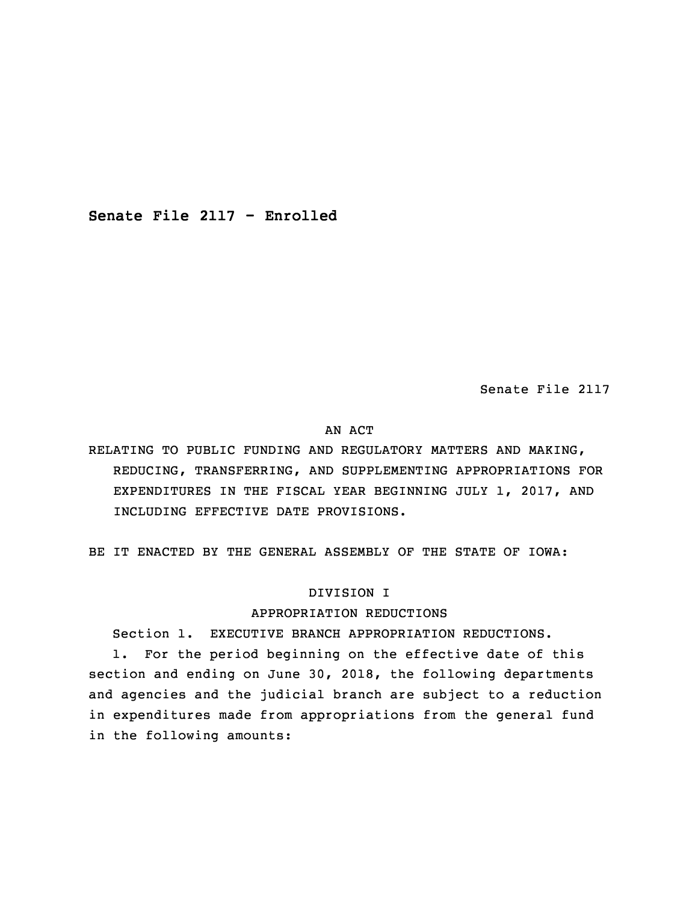**Senate File 2117 - Enrolled**

Senate File 2117

## AN ACT

RELATING TO PUBLIC FUNDING AND REGULATORY MATTERS AND MAKING, REDUCING, TRANSFERRING, AND SUPPLEMENTING APPROPRIATIONS FOR EXPENDITURES IN THE FISCAL YEAR BEGINNING JULY 1, 2017, AND INCLUDING EFFECTIVE DATE PROVISIONS.

BE IT ENACTED BY THE GENERAL ASSEMBLY OF THE STATE OF IOWA:

# DIVISION I

## APPROPRIATION REDUCTIONS

Section 1. EXECUTIVE BRANCH APPROPRIATION REDUCTIONS.

 1. For the period beginning on the effective date of this section and ending on June 30, 2018, the following departments and agencies and the judicial branch are subject to a reduction in expenditures made from appropriations from the general fund in the following amounts: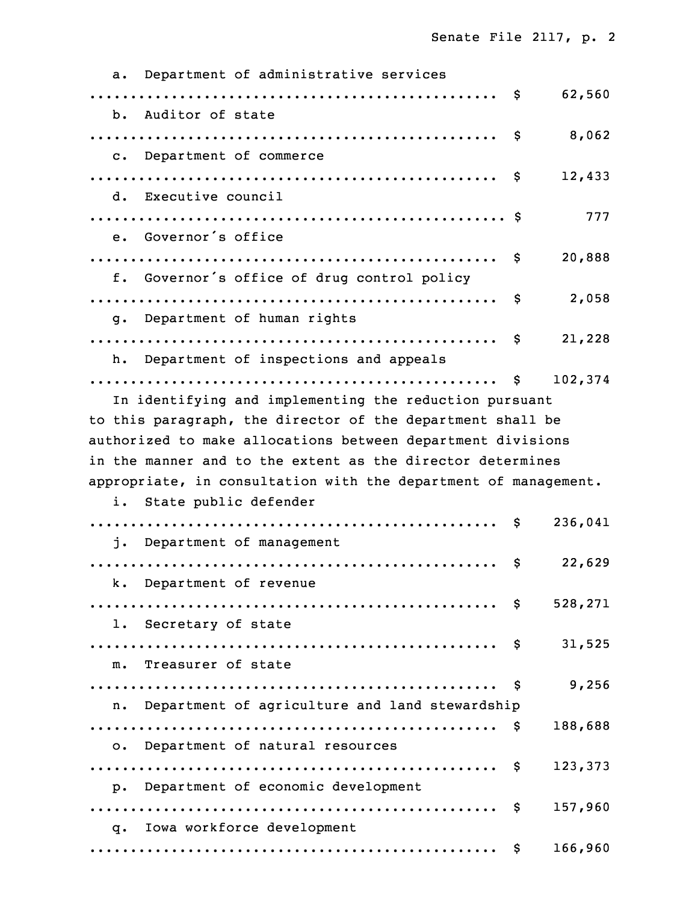| Department of administrative services<br>a.                     |     |         |
|-----------------------------------------------------------------|-----|---------|
|                                                                 | Ş.  | 62,560  |
| b. Auditor of state                                             |     |         |
|                                                                 | \$  | 8,062   |
| c. Department of commerce                                       |     |         |
|                                                                 | \$  | 12,433  |
| d. Executive council                                            |     |         |
|                                                                 |     | 777     |
| e. Governor's office                                            |     |         |
|                                                                 | \$  | 20,888  |
| f. Governor's office of drug control policy                     |     |         |
|                                                                 | \$. | 2,058   |
| g. Department of human rights                                   |     |         |
|                                                                 | \$  | 21,228  |
| h. Department of inspections and appeals                        |     |         |
|                                                                 | Ş.  | 102,374 |
| In identifying and implementing the reduction pursuant          |     |         |
| to this paragraph, the director of the department shall be      |     |         |
| authorized to make allocations between department divisions     |     |         |
| in the manner and to the extent as the director determines      |     |         |
| appropriate, in consultation with the department of management. |     |         |
| State public defender<br>i.                                     |     |         |
|                                                                 | S.  | 236,041 |
| Department of management<br>i.                                  |     |         |
|                                                                 | \$  | 22,629  |
| k. Department of revenue                                        |     |         |
|                                                                 |     |         |
| 1. Secretary of state                                           |     |         |
|                                                                 |     | 31,525  |
| m. Treasurer of state                                           |     |         |
|                                                                 |     | 9,256   |
| n. Department of agriculture and land stewardship               |     |         |
|                                                                 |     | 188,688 |
| o. Department of natural resources                              |     |         |
|                                                                 |     | 123,373 |
| p. Department of economic development                           |     |         |
|                                                                 |     | 157,960 |
| q. Iowa workforce development                                   |     |         |
|                                                                 |     | 166,960 |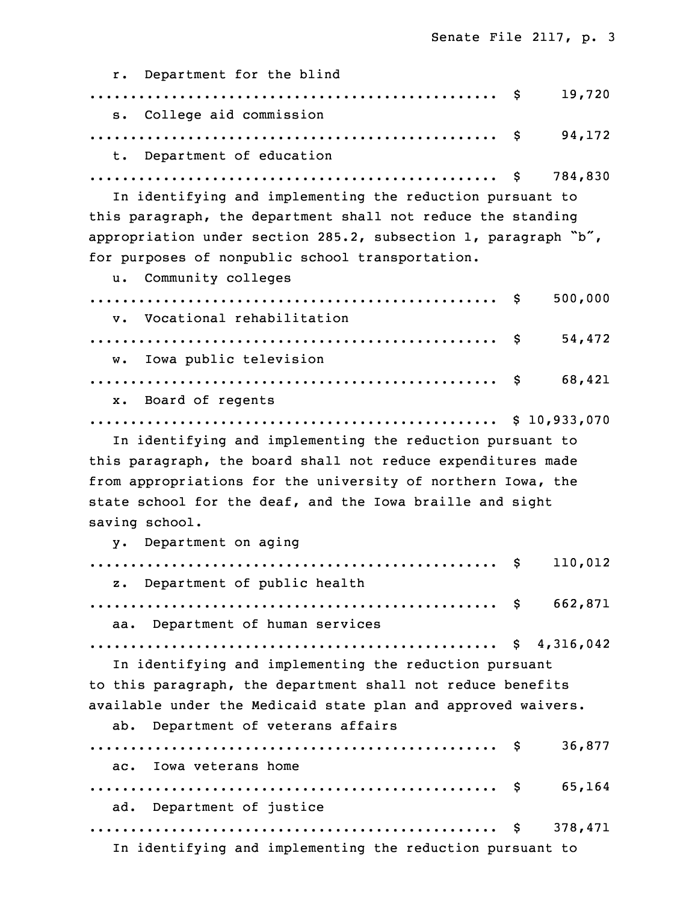r. Department for the blind .................................................. \$ 19,720 s. College aid commission 16 .................................................. \$ 94,172 Department of education 18 .................................................. \$ 784,830 In identifying and implementing the reduction pursuant to this paragraph, the department shall not reduce the standing appropriation under section 285.2, subsection 1, paragraph "b", for purposes of nonpublic school transportation. u. Community colleges .................................................. \$ 500,000 v. Vocational rehabilitation 26 .................................................. \$ 54,472 w. Iowa public television 28 .................................................. \$ 68,421 x. Board of regents 30 .................................................. \$ 10,933,070 In identifying and implementing the reduction pursuant to this paragraph, the board shall not reduce expenditures made from appropriations for the university of northern Iowa, the state school for the deaf, and the Iowa braille and sight saving school. y. Department on aging .................................................. \$ 110,012 z. Department of public health .................................................. \$ 662,871 aa. Department of human services 6 .................................................. \$ 4,316,042 In identifying and implementing the reduction pursuant to this paragraph, the department shall not reduce benefits available under the Medicaid state plan and approved waivers. ab. Department of veterans affairs .................................................. \$ 36,877 ac. Iowa veterans home 13 .................................................. \$ 65,164 ad. Department of justice 15 .................................................. \$ 378,471 In identifying and implementing the reduction pursuant to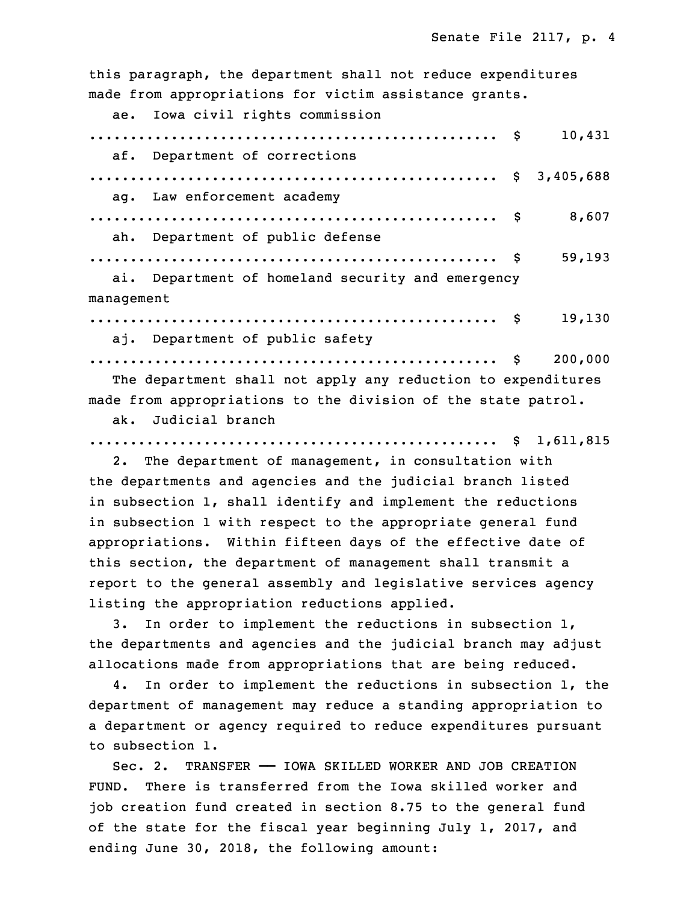this paragraph, the department shall not reduce expenditures made from appropriations for victim assistance grants.

ae. Iowa civil rights commission 20 .................................................. \$ 10,431 af. Department of corrections .................................................. \$ 3,405,688 ag. Law enforcement academy .................................................. \$ 8,607 ah. Department of public defense 26 .................................................. \$ 59,193 ai. Department of homeland security and emergency management 29 .................................................. \$ 19,130

aj. Department of public safety

The department shall not apply any reduction to expenditures made from appropriations to the division of the state patrol.

31 .................................................. \$ 200,000

ak. Judicial branch

## 35 .................................................. \$ 1,611,815

 2. The department of management, in consultation with the departments and agencies and the judicial branch listed in subsection 1, shall identify and implement the reductions in subsection 1 with respect to the appropriate general fund appropriations. Within fifteen days of the effective date of this section, the department of management shall transmit a report to the general assembly and legislative services agency listing the appropriation reductions applied.

3. In order to implement the reductions in subsection 1, the departments and agencies and the judicial branch may adjust allocations made from appropriations that are being reduced.

 4. In order to implement the reductions in subsection 1, the department of management may reduce a standing appropriation to <sup>a</sup> department or agency required to reduce expenditures pursuant to subsection 1.

Sec. 2. TRANSFER - IOWA SKILLED WORKER AND JOB CREATION FUND. There is transferred from the Iowa skilled worker and job creation fund created in section 8.75 to the general fund of the state for the fiscal year beginning July 1, 2017, and ending June 30, 2018, the following amount: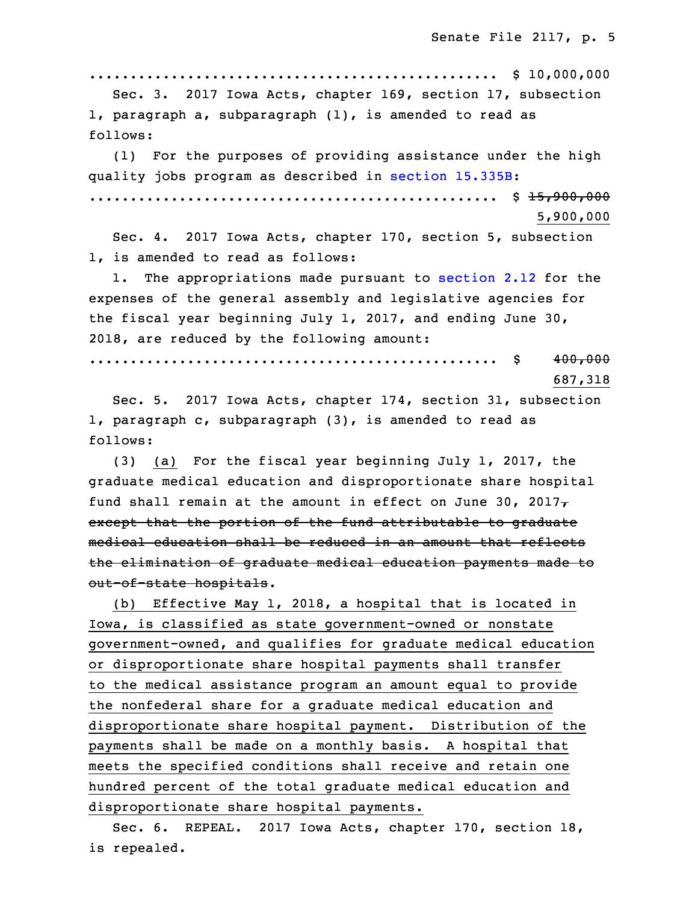.................................................. \$ 10,000,000

 Sec. 3. 2017 Iowa Acts, chapter 169, section 17, subsection 1, paragraph a, subparagraph  $(1)$ , is amended to read as follows:

(1) For the purposes of providing assistance under the high quality jobs program as described in section [15.335B](https://www.legis.iowa.gov/docs/code/2018/15.335B.pdf): 27 .................................................. \$ 15,900,000 28 5,900,000

Sec. 4. 2017 Iowa Acts, chapter 170, section 5, subsection 1, is amended to read as follows:

1. The appropriations made pursuant to [section](https://www.legis.iowa.gov/docs/code/2018/2.12.pdf) 2.12 for the expenses of the general assembly and legislative agencies for the fiscal year beginning July 1, 2017, and ending June 30, 2018, are reduced by the following amount:

35 .................................................. \$ 400,000

687,318

 Sec. 5. 2017 Iowa Acts, chapter 174, section 31, subsection 1, paragraph  $c$ , subparagraph  $(3)$ , is amended to read as follows:

 $(3)$  (a) For the fiscal year beginning July 1, 2017, the graduate medical education and disproportionate share hospital fund shall remain at the amount in effect on June 30, 2017 $\tau$ except that the portion of the fund attributable to graduate medical education shall be reduced in an amount that reflects the elimination of graduate medical education payments made to out-of-state hospitals.

 (b) Effective May 1, 2018, <sup>a</sup> hospital that is located in Iowa, is classified as state government-owned or nonstate government-owned, and qualifies for graduate medical education or disproportionate share hospital payments shall transfer 16 to the medical assistance program an amount equal to provide the nonfederal share for a graduate medical education and disproportionate share hospital payment. Distribution of the payments shall be made on a monthly basis. A hospital that meets the specified conditions shall receive and retain one hundred percent of the total graduate medical education and disproportionate share hospital payments.

Sec. 6. REPEAL. 2017 Iowa Acts, chapter 170, section 18, is repealed.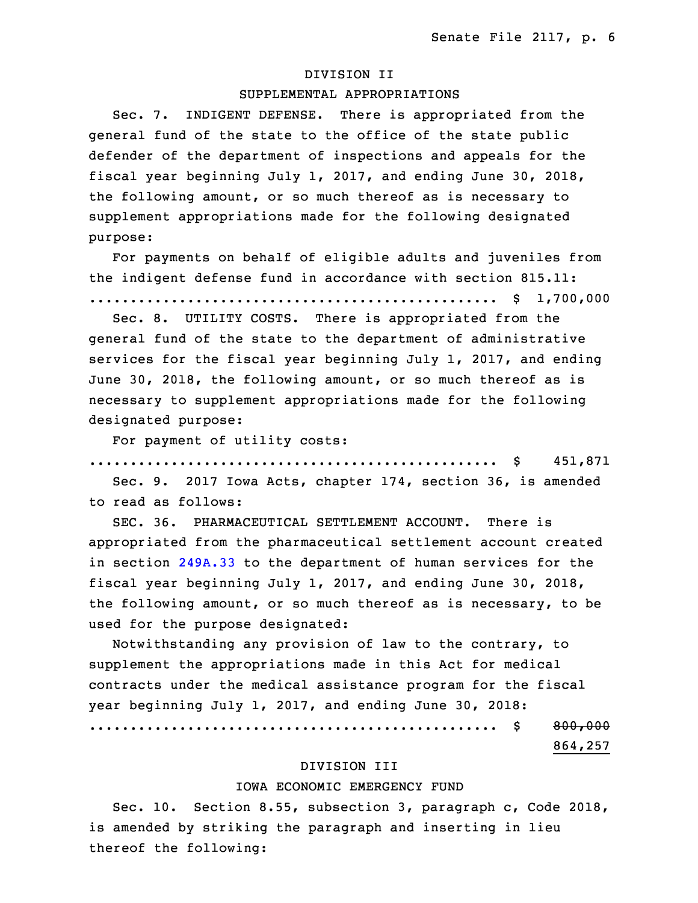#### 25 DIVISION II

# SUPPLEMENTAL APPROPRIATIONS

Sec. 7. INDIGENT DEFENSE. There is appropriated from the general fund of the state to the office of the state public defender of the department of inspections and appeals for the fiscal year beginning July 1, 2017, and ending June 30, 2018, the following amount, or so much thereof as is necessary to supplement appropriations made for the following designated purpose:

For payments on behalf of eligible adults and juveniles from the indigent defense fund in accordance with section 815.11: .................................................. \$ 1,700,000

 Sec. 8. UTILITY COSTS. There is appropriated from the general fund of the state to the department of administrative services for the fiscal year beginning July 1, 2017, and ending June 30, 2018, the following amount, or so much thereof as is necessary to supplement appropriations made for the following designated purpose:

For payment of utility costs:

9 .................................................. \$ 451,871

Sec. 9. 2017 Iowa Acts, chapter 174, section 36, is amended to read as follows:

 SEC. 36. PHARMACEUTICAL SETTLEMENT ACCOUNT. There is appropriated from the pharmaceutical settlement account created in section [249A.33](https://www.legis.iowa.gov/docs/code/2018/249A.33.pdf) to the department of human services for the fiscal year beginning July 1, 2017, and ending June 30, 2018, the following amount, or so much thereof as is necessary, to be used for the purpose designated:

Notwithstanding any provision of law to the contrary, to supplement the appropriations made in this Act for medical contracts under the medical assistance program for the fiscal year beginning July 1, 2017, and ending June 30, 2018: .................................................. \$ 800,000 23 864,257

### DIVISION III

# IOWA ECONOMIC EMERGENCY FUND

Sec. 10. Section 8.55, subsection 3, paragraph c, Code 2018, is amended by striking the paragraph and inserting in lieu thereof the following: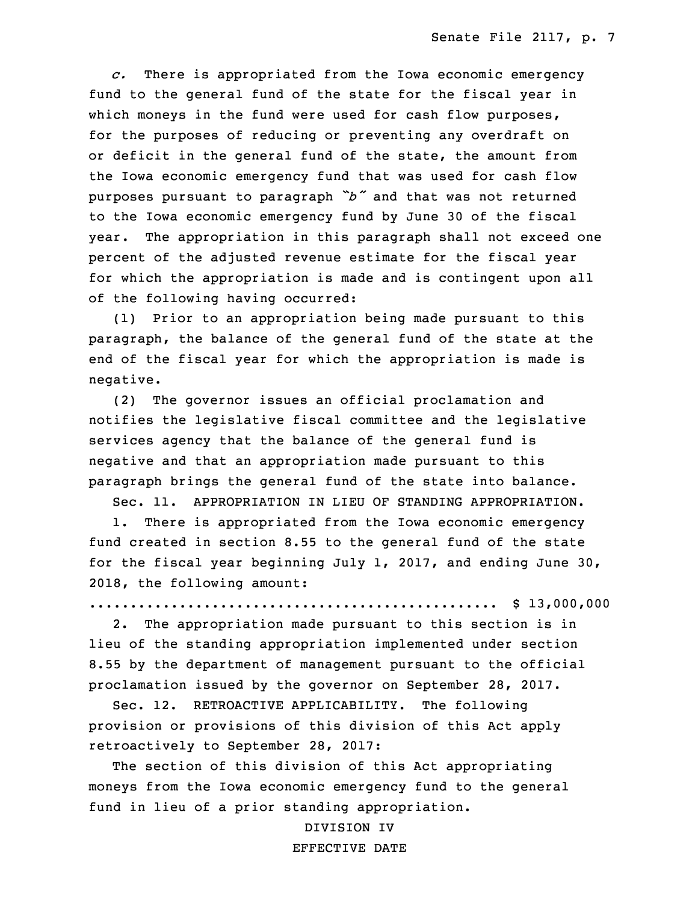29 *c.* There is appropriated from the Iowa economic emergency fund to the general fund of the state for the fiscal year in which moneys in the fund were used for cash flow purposes, for the purposes of reducing or preventing any overdraft on or deficit in the general fund of the state, the amount from the Iowa economic emergency fund that was used for cash flow purposes pursuant to paragraph "b" and that was not returned to the Iowa economic emergency fund by June 30 of the fiscal year. The appropriation in this paragraph shall not exceed one percent of the adjusted revenue estimate for the fiscal year for which the appropriation is made and is contingent upon all of the following having occurred:

6 (1) Prior to an appropriation being made pursuant to this paragraph, the balance of the general fund of the state at the end of the fiscal year for which the appropriation is made is negative.

(2) The governor issues an official proclamation and notifies the legislative fiscal committee and the legislative services agency that the balance of the general fund is negative and that an appropriation made pursuant to this paragraph brings the general fund of the state into balance.

Sec. 11. APPROPRIATION IN LIEU OF STANDING APPROPRIATION.

1. There is appropriated from the Iowa economic emergency fund created in section 8.55 to the general fund of the state for the fiscal year beginning July 1, 2017, and ending June 30, 2018, the following amount:

20 .................................................. \$ 13,000,000

 2. The appropriation made pursuant to this section is in lieu of the standing appropriation implemented under section 8.55 by the department of management pursuant to the official proclamation issued by the governor on September 28, 2017.

Sec. 12. RETROACTIVE APPLICABILITY. The following provision or provisions of this division of this Act apply retroactively to September 28, 2017:

The section of this division of this Act appropriating moneys from the Iowa economic emergency fund to the general fund in lieu of a prior standing appropriation.

> 31 DIVISION IV EFFECTIVE DATE